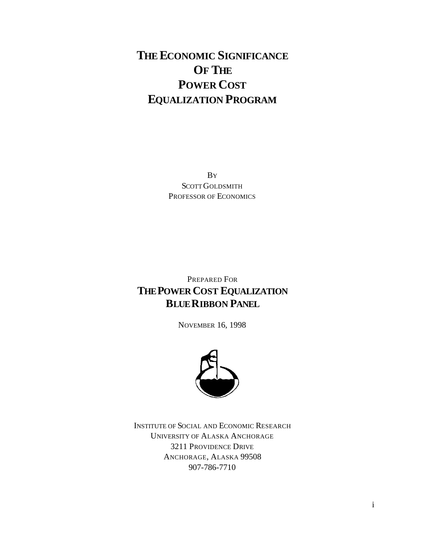# **THE ECONOMIC SIGNIFICANCE OF THE POWER COST EQUALIZATION PROGRAM**

BY SCOTT GOLDSMITH PROFESSOR OF ECONOMICS

### PREPARED FOR **THE POWER COST EQUALIZATION BLUE RIBBON PANEL**

NOVEMBER 16, 1998



INSTITUTE OF SOCIAL AND ECONOMIC RESEARCH UNIVERSITY OF ALASKA ANCHORAGE 3211 PROVIDENCE DRIVE ANCHORAGE, ALASKA 99508 907-786-7710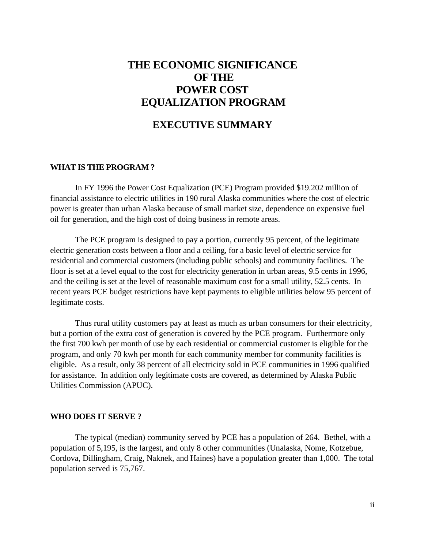## **THE ECONOMIC SIGNIFICANCE OF THE POWER COST EQUALIZATION PROGRAM**

### **EXECUTIVE SUMMARY**

#### **WHAT IS THE PROGRAM ?**

In FY 1996 the Power Cost Equalization (PCE) Program provided \$19.202 million of financial assistance to electric utilities in 190 rural Alaska communities where the cost of electric power is greater than urban Alaska because of small market size, dependence on expensive fuel oil for generation, and the high cost of doing business in remote areas.

The PCE program is designed to pay a portion, currently 95 percent, of the legitimate electric generation costs between a floor and a ceiling, for a basic level of electric service for residential and commercial customers (including public schools) and community facilities. The floor is set at a level equal to the cost for electricity generation in urban areas, 9.5 cents in 1996, and the ceiling is set at the level of reasonable maximum cost for a small utility, 52.5 cents. In recent years PCE budget restrictions have kept payments to eligible utilities below 95 percent of legitimate costs.

Thus rural utility customers pay at least as much as urban consumers for their electricity, but a portion of the extra cost of generation is covered by the PCE program. Furthermore only the first 700 kwh per month of use by each residential or commercial customer is eligible for the program, and only 70 kwh per month for each community member for community facilities is eligible. As a result, only 38 percent of all electricity sold in PCE communities in 1996 qualified for assistance. In addition only legitimate costs are covered, as determined by Alaska Public Utilities Commission (APUC).

#### **WHO DOES IT SERVE ?**

The typical (median) community served by PCE has a population of 264. Bethel, with a population of 5,195, is the largest, and only 8 other communities (Unalaska, Nome, Kotzebue, Cordova, Dillingham, Craig, Naknek, and Haines) have a population greater than 1,000. The total population served is 75,767.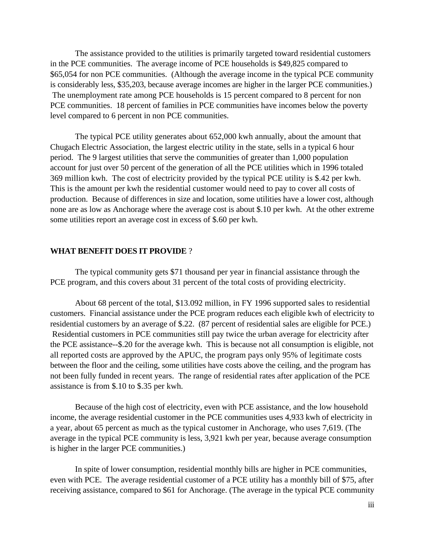The assistance provided to the utilities is primarily targeted toward residential customers in the PCE communities. The average income of PCE households is \$49,825 compared to \$65,054 for non PCE communities. (Although the average income in the typical PCE community is considerably less, \$35,203, because average incomes are higher in the larger PCE communities.) The unemployment rate among PCE households is 15 percent compared to 8 percent for non PCE communities. 18 percent of families in PCE communities have incomes below the poverty level compared to 6 percent in non PCE communities.

The typical PCE utility generates about 652,000 kwh annually, about the amount that Chugach Electric Association, the largest electric utility in the state, sells in a typical 6 hour period. The 9 largest utilities that serve the communities of greater than 1,000 population account for just over 50 percent of the generation of all the PCE utilities which in 1996 totaled 369 million kwh. The cost of electricity provided by the typical PCE utility is \$.42 per kwh. This is the amount per kwh the residential customer would need to pay to cover all costs of production. Because of differences in size and location, some utilities have a lower cost, although none are as low as Anchorage where the average cost is about \$.10 per kwh. At the other extreme some utilities report an average cost in excess of \$.60 per kwh.

#### **WHAT BENEFIT DOES IT PROVIDE** ?

The typical community gets \$71 thousand per year in financial assistance through the PCE program, and this covers about 31 percent of the total costs of providing electricity.

About 68 percent of the total, \$13.092 million, in FY 1996 supported sales to residential customers. Financial assistance under the PCE program reduces each eligible kwh of electricity to residential customers by an average of \$.22. (87 percent of residential sales are eligible for PCE.) Residential customers in PCE communities still pay twice the urban average for electricity after the PCE assistance--\$.20 for the average kwh. This is because not all consumption is eligible, not all reported costs are approved by the APUC, the program pays only 95% of legitimate costs between the floor and the ceiling, some utilities have costs above the ceiling, and the program has not been fully funded in recent years. The range of residential rates after application of the PCE assistance is from \$.10 to \$.35 per kwh.

Because of the high cost of electricity, even with PCE assistance, and the low household income, the average residential customer in the PCE communities uses 4,933 kwh of electricity in a year, about 65 percent as much as the typical customer in Anchorage, who uses 7,619. (The average in the typical PCE community is less, 3,921 kwh per year, because average consumption is higher in the larger PCE communities.)

In spite of lower consumption, residential monthly bills are higher in PCE communities, even with PCE. The average residential customer of a PCE utility has a monthly bill of \$75, after receiving assistance, compared to \$61 for Anchorage. (The average in the typical PCE community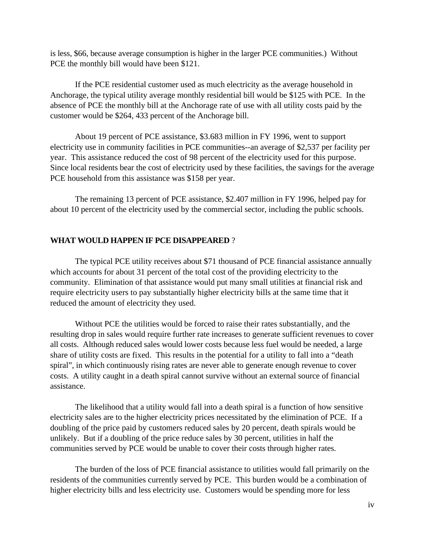is less, \$66, because average consumption is higher in the larger PCE communities.) Without PCE the monthly bill would have been \$121.

If the PCE residential customer used as much electricity as the average household in Anchorage, the typical utility average monthly residential bill would be \$125 with PCE. In the absence of PCE the monthly bill at the Anchorage rate of use with all utility costs paid by the customer would be \$264, 433 percent of the Anchorage bill.

About 19 percent of PCE assistance, \$3.683 million in FY 1996, went to support electricity use in community facilities in PCE communities--an average of \$2,537 per facility per year. This assistance reduced the cost of 98 percent of the electricity used for this purpose. Since local residents bear the cost of electricity used by these facilities, the savings for the average PCE household from this assistance was \$158 per year.

The remaining 13 percent of PCE assistance, \$2.407 million in FY 1996, helped pay for about 10 percent of the electricity used by the commercial sector, including the public schools.

#### **WHAT WOULD HAPPEN IF PCE DISAPPEARED** ?

The typical PCE utility receives about \$71 thousand of PCE financial assistance annually which accounts for about 31 percent of the total cost of the providing electricity to the community. Elimination of that assistance would put many small utilities at financial risk and require electricity users to pay substantially higher electricity bills at the same time that it reduced the amount of electricity they used.

Without PCE the utilities would be forced to raise their rates substantially, and the resulting drop in sales would require further rate increases to generate sufficient revenues to cover all costs. Although reduced sales would lower costs because less fuel would be needed, a large share of utility costs are fixed. This results in the potential for a utility to fall into a "death spiral", in which continuously rising rates are never able to generate enough revenue to cover costs. A utility caught in a death spiral cannot survive without an external source of financial assistance.

The likelihood that a utility would fall into a death spiral is a function of how sensitive electricity sales are to the higher electricity prices necessitated by the elimination of PCE. If a doubling of the price paid by customers reduced sales by 20 percent, death spirals would be unlikely. But if a doubling of the price reduce sales by 30 percent, utilities in half the communities served by PCE would be unable to cover their costs through higher rates.

The burden of the loss of PCE financial assistance to utilities would fall primarily on the residents of the communities currently served by PCE. This burden would be a combination of higher electricity bills and less electricity use. Customers would be spending more for less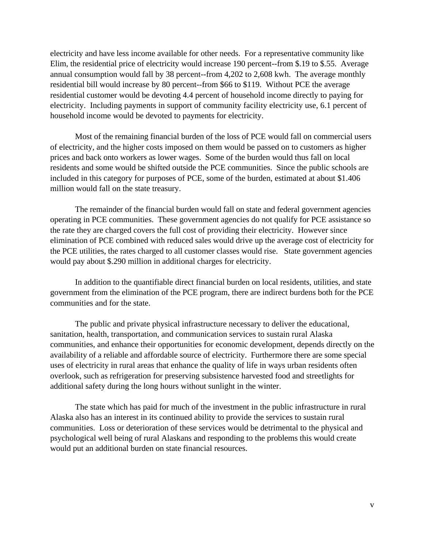electricity and have less income available for other needs. For a representative community like Elim, the residential price of electricity would increase 190 percent--from \$.19 to \$.55. Average annual consumption would fall by 38 percent--from 4,202 to 2,608 kwh. The average monthly residential bill would increase by 80 percent--from \$66 to \$119. Without PCE the average residential customer would be devoting 4.4 percent of household income directly to paying for electricity. Including payments in support of community facility electricity use, 6.1 percent of household income would be devoted to payments for electricity.

Most of the remaining financial burden of the loss of PCE would fall on commercial users of electricity, and the higher costs imposed on them would be passed on to customers as higher prices and back onto workers as lower wages. Some of the burden would thus fall on local residents and some would be shifted outside the PCE communities. Since the public schools are included in this category for purposes of PCE, some of the burden, estimated at about \$1.406 million would fall on the state treasury.

The remainder of the financial burden would fall on state and federal government agencies operating in PCE communities. These government agencies do not qualify for PCE assistance so the rate they are charged covers the full cost of providing their electricity. However since elimination of PCE combined with reduced sales would drive up the average cost of electricity for the PCE utilities, the rates charged to all customer classes would rise. State government agencies would pay about \$.290 million in additional charges for electricity.

In addition to the quantifiable direct financial burden on local residents, utilities, and state government from the elimination of the PCE program, there are indirect burdens both for the PCE communities and for the state.

The public and private physical infrastructure necessary to deliver the educational, sanitation, health, transportation, and communication services to sustain rural Alaska communities, and enhance their opportunities for economic development, depends directly on the availability of a reliable and affordable source of electricity. Furthermore there are some special uses of electricity in rural areas that enhance the quality of life in ways urban residents often overlook, such as refrigeration for preserving subsistence harvested food and streetlights for additional safety during the long hours without sunlight in the winter.

The state which has paid for much of the investment in the public infrastructure in rural Alaska also has an interest in its continued ability to provide the services to sustain rural communities. Loss or deterioration of these services would be detrimental to the physical and psychological well being of rural Alaskans and responding to the problems this would create would put an additional burden on state financial resources.